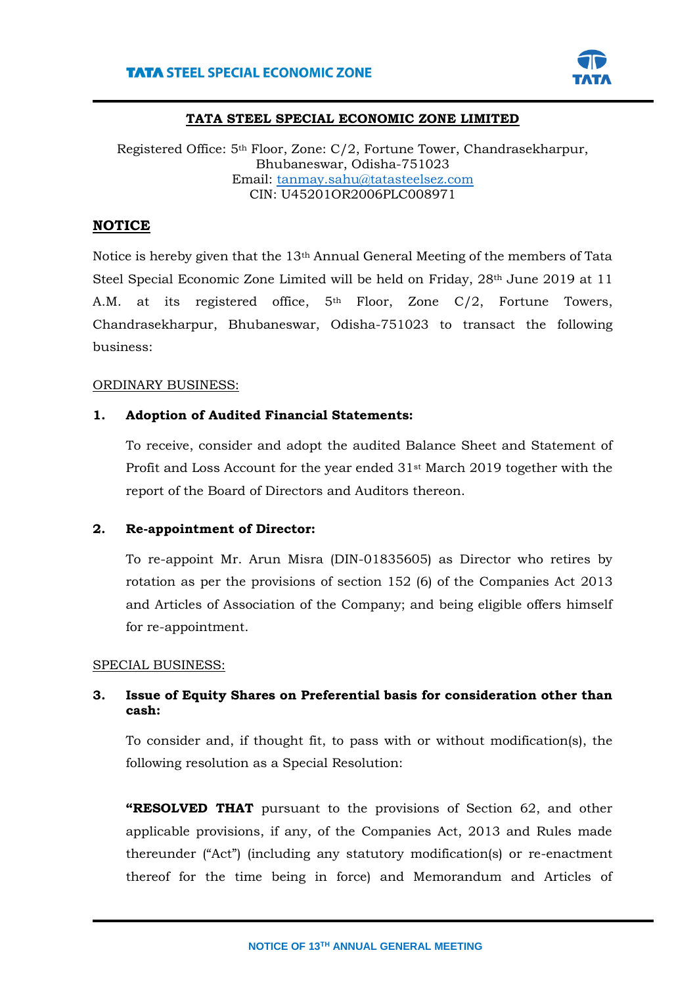

### **TATA STEEL SPECIAL ECONOMIC ZONE LIMITED**

Registered Office: 5th Floor, Zone: C/2, Fortune Tower, Chandrasekharpur, Bhubaneswar, Odisha-751023 Email: [tanmay.sahu@tatasteelsez.com](mailto:tanmay.sahu@tatasteelsez.com) CIN: U45201OR2006PLC008971

# **NOTICE**

Notice is hereby given that the 13th Annual General Meeting of the members of Tata Steel Special Economic Zone Limited will be held on Friday, 28<sup>th</sup> June 2019 at 11 A.M. at its registered office, 5<sup>th</sup> Floor, Zone C/2, Fortune Towers, Chandrasekharpur, Bhubaneswar, Odisha-751023 to transact the following business:

### ORDINARY BUSINESS:

### **1. Adoption of Audited Financial Statements:**

To receive, consider and adopt the audited Balance Sheet and Statement of Profit and Loss Account for the year ended  $31$ <sup>st</sup> March 2019 together with the report of the Board of Directors and Auditors thereon.

### **2. Re-appointment of Director:**

To re-appoint Mr. Arun Misra (DIN-01835605) as Director who retires by rotation as per the provisions of section 152 (6) of the Companies Act 2013 and Articles of Association of the Company; and being eligible offers himself for re-appointment.

### SPECIAL BUSINESS:

## **3. Issue of Equity Shares on Preferential basis for consideration other than cash:**

To consider and, if thought fit, to pass with or without modification(s), the following resolution as a Special Resolution:

**"RESOLVED THAT** pursuant to the provisions of Section 62, and other applicable provisions, if any, of the Companies Act, 2013 and Rules made thereunder ("Act") (including any statutory modification(s) or re-enactment thereof for the time being in force) and Memorandum and Articles of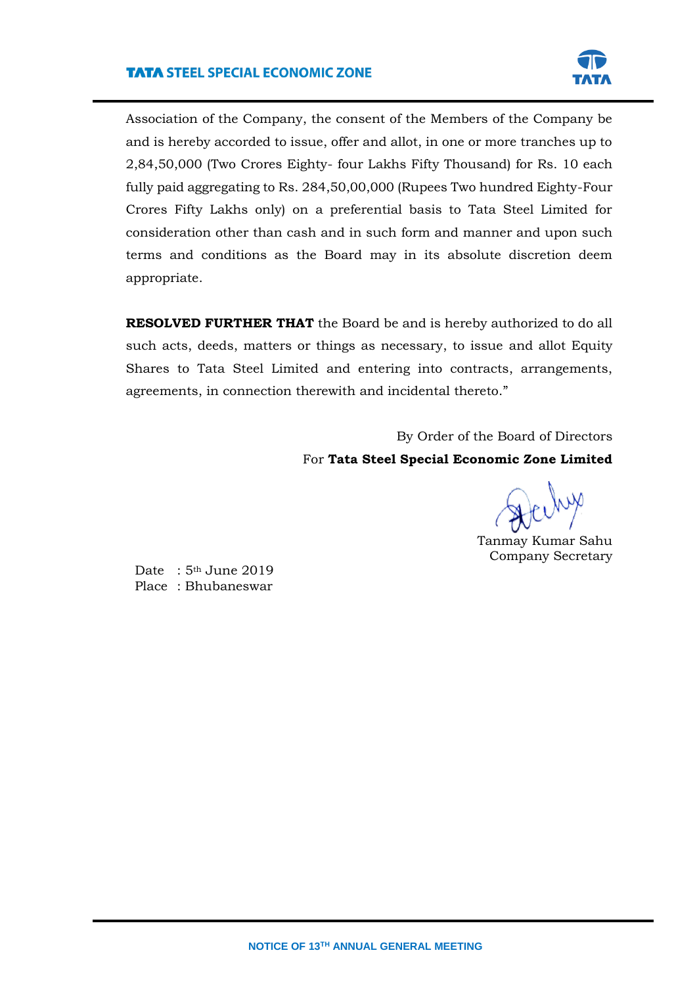

Association of the Company, the consent of the Members of the Company be and is hereby accorded to issue, offer and allot, in one or more tranches up to 2,84,50,000 (Two Crores Eighty- four Lakhs Fifty Thousand) for Rs. 10 each fully paid aggregating to Rs. 284,50,00,000 (Rupees Two hundred Eighty-Four Crores Fifty Lakhs only) on a preferential basis to Tata Steel Limited for consideration other than cash and in such form and manner and upon such terms and conditions as the Board may in its absolute discretion deem appropriate.

**RESOLVED FURTHER THAT** the Board be and is hereby authorized to do all such acts, deeds, matters or things as necessary, to issue and allot Equity Shares to Tata Steel Limited and entering into contracts, arrangements, agreements, in connection therewith and incidental thereto."

> By Order of the Board of Directors For **Tata Steel Special Economic Zone Limited**

Tanmay Kumar Sahu Company Secretary

Date: 5<sup>th</sup> June 2019 Place : Bhubaneswar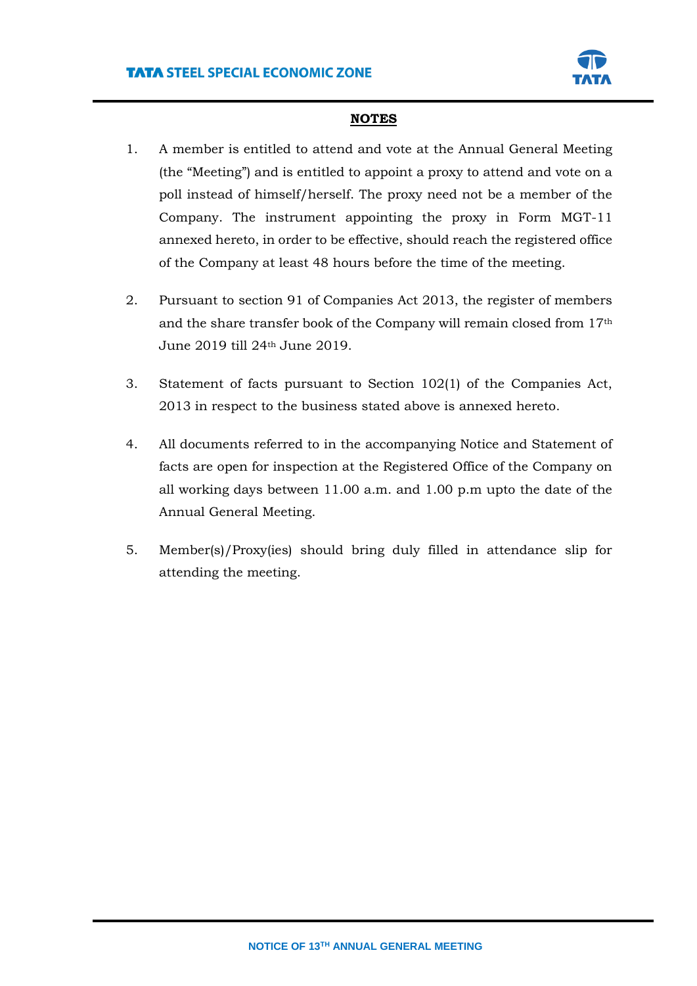

## **NOTES**

- 1. A member is entitled to attend and vote at the Annual General Meeting (the "Meeting") and is entitled to appoint a proxy to attend and vote on a poll instead of himself/herself. The proxy need not be a member of the Company. The instrument appointing the proxy in Form MGT-11 annexed hereto, in order to be effective, should reach the registered office of the Company at least 48 hours before the time of the meeting.
- 2. Pursuant to section 91 of Companies Act 2013, the register of members and the share transfer book of the Company will remain closed from 17th June 2019 till 24th June 2019.
- 3. Statement of facts pursuant to Section 102(1) of the Companies Act, 2013 in respect to the business stated above is annexed hereto.
- 4. All documents referred to in the accompanying Notice and Statement of facts are open for inspection at the Registered Office of the Company on all working days between 11.00 a.m. and 1.00 p.m upto the date of the Annual General Meeting.
- 5. Member(s)/Proxy(ies) should bring duly filled in attendance slip for attending the meeting.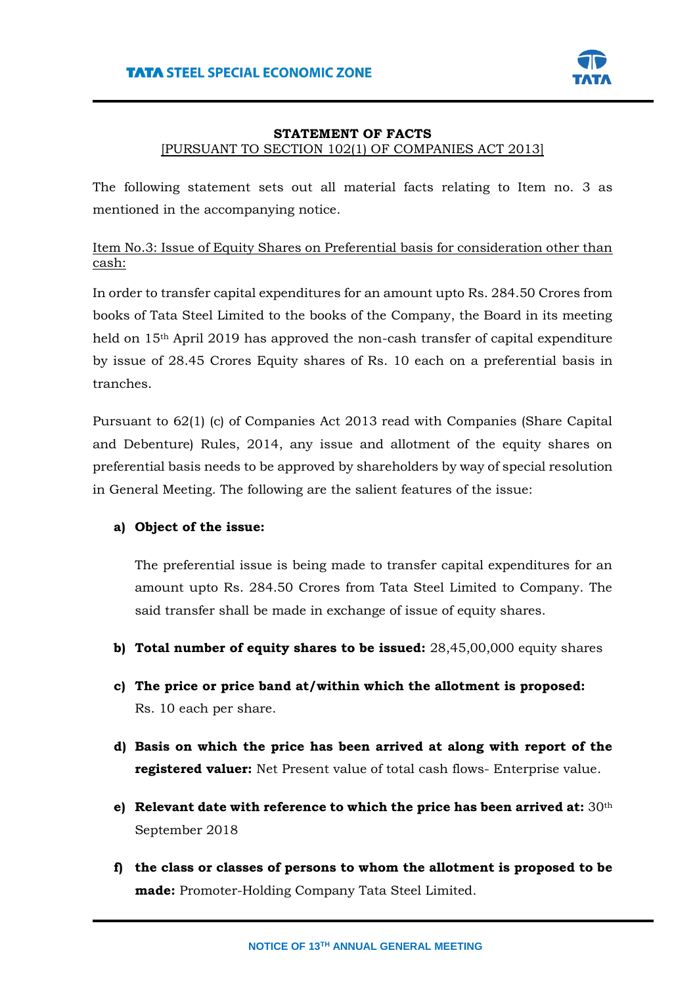

### **STATEMENT OF FACTS**

### [PURSUANT TO SECTION 102(1) OF COMPANIES ACT 2013]

The following statement sets out all material facts relating to Item no. 3 as mentioned in the accompanying notice.

# Item No.3: Issue of Equity Shares on Preferential basis for consideration other than cash:

In order to transfer capital expenditures for an amount upto Rs. 284.50 Crores from books of Tata Steel Limited to the books of the Company, the Board in its meeting held on 15th April 2019 has approved the non-cash transfer of capital expenditure by issue of 28.45 Crores Equity shares of Rs. 10 each on a preferential basis in tranches.

Pursuant to 62(1) (c) of Companies Act 2013 read with Companies (Share Capital and Debenture) Rules, 2014, any issue and allotment of the equity shares on preferential basis needs to be approved by shareholders by way of special resolution in General Meeting. The following are the salient features of the issue:

## **a) Object of the issue:**

The preferential issue is being made to transfer capital expenditures for an amount upto Rs. 284.50 Crores from Tata Steel Limited to Company. The said transfer shall be made in exchange of issue of equity shares.

- **b) Total number of equity shares to be issued:** 28,45,00,000 equity shares
- **c) The price or price band at/within which the allotment is proposed:**  Rs. 10 each per share.
- **d) Basis on which the price has been arrived at along with report of the registered valuer:** Net Present value of total cash flows- Enterprise value.
- **e) Relevant date with reference to which the price has been arrived at:** 30th September 2018
- **f) the class or classes of persons to whom the allotment is proposed to be made:** Promoter-Holding Company Tata Steel Limited.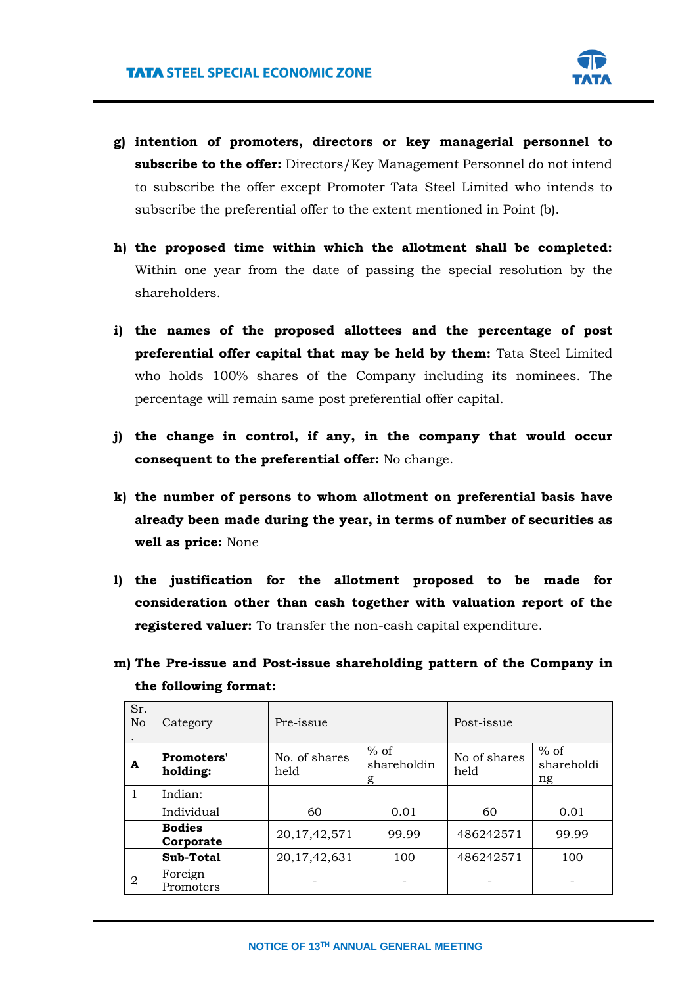

- **g) intention of promoters, directors or key managerial personnel to subscribe to the offer:** Directors/Key Management Personnel do not intend to subscribe the offer except Promoter Tata Steel Limited who intends to subscribe the preferential offer to the extent mentioned in Point (b).
- **h) the proposed time within which the allotment shall be completed:** Within one year from the date of passing the special resolution by the shareholders.
- **i) the names of the proposed allottees and the percentage of post preferential offer capital that may be held by them:** Tata Steel Limited who holds 100% shares of the Company including its nominees. The percentage will remain same post preferential offer capital.
- **j) the change in control, if any, in the company that would occur consequent to the preferential offer:** No change.
- **k) the number of persons to whom allotment on preferential basis have already been made during the year, in terms of number of securities as well as price:** None
- **l) the justification for the allotment proposed to be made for consideration other than cash together with valuation report of the registered valuer:** To transfer the non-cash capital expenditure.
- **m) The Pre-issue and Post-issue shareholding pattern of the Company in the following format:**

| Sr.<br>N <sub>o</sub> | Category                   | Pre-issue             |                            | Post-issue           |                            |
|-----------------------|----------------------------|-----------------------|----------------------------|----------------------|----------------------------|
| A                     | Promoters'<br>holding:     | No. of shares<br>held | $%$ of<br>shareholdin<br>g | No of shares<br>held | $%$ of<br>shareholdi<br>ng |
|                       | Indian:                    |                       |                            |                      |                            |
|                       | Individual                 | 60                    | 0.01                       | 60                   | 0.01                       |
|                       | <b>Bodies</b><br>Corporate | 20, 17, 42, 571       | 99.99                      | 486242571            | 99.99                      |
|                       | Sub-Total                  | 20, 17, 42, 631       | 100                        | 486242571            | 100                        |
| 2                     | Foreign<br>Promoters       |                       |                            |                      |                            |